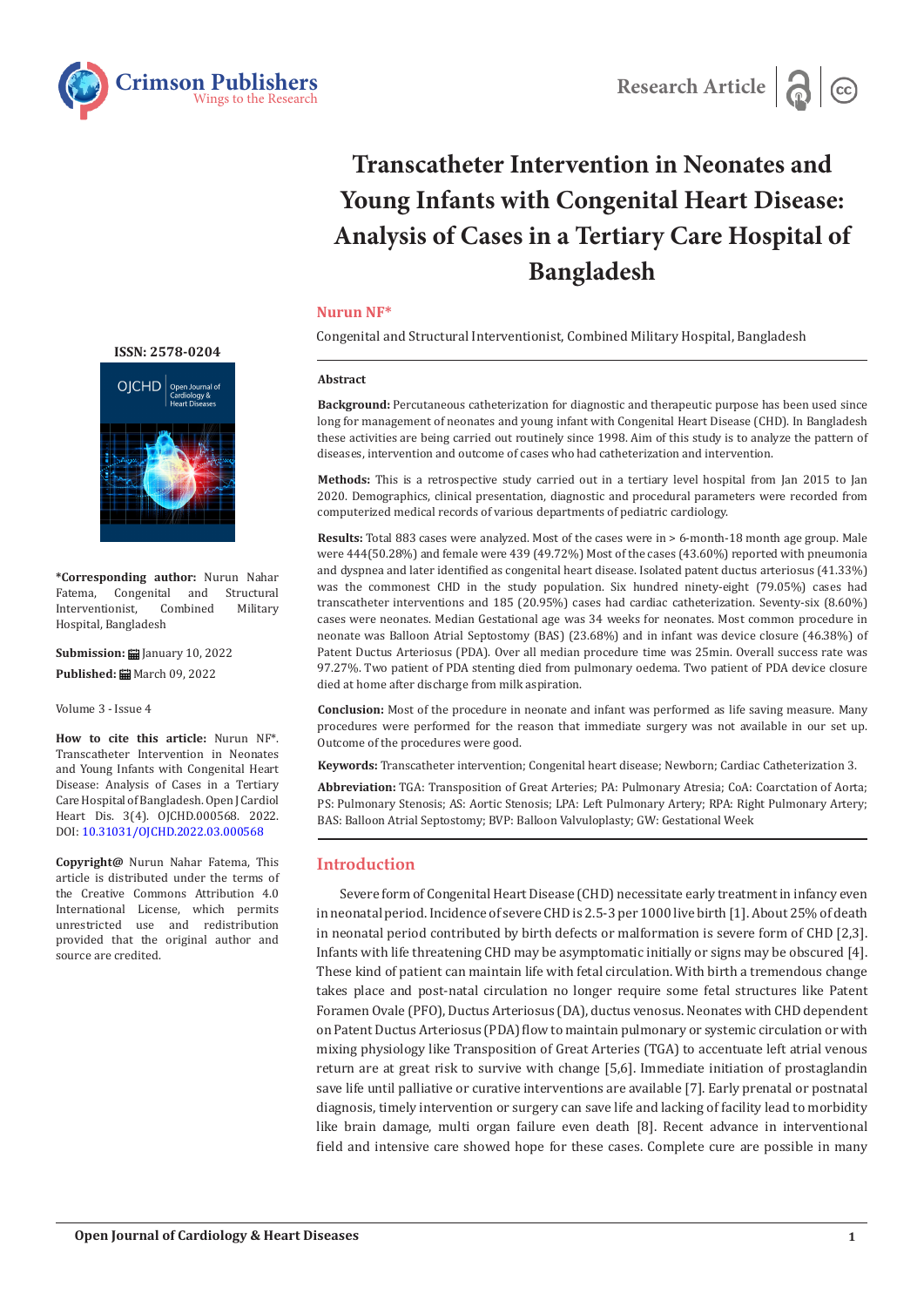



# **Transcatheter Intervention in Neonates and Young Infants with Congenital Heart Disease: Analysis of Cases in a Tertiary Care Hospital of Bangladesh**

#### **Nurun NF\***

Congenital and Structural Interventionist, Combined Military Hospital, Bangladesh

#### **Abstract**

**Background:** Percutaneous catheterization for diagnostic and therapeutic purpose has been used since long for management of neonates and young infant with Congenital Heart Disease (CHD). In Bangladesh these activities are being carried out routinely since 1998. Aim of this study is to analyze the pattern of diseases, intervention and outcome of cases who had catheterization and intervention.

**Methods:** This is a retrospective study carried out in a tertiary level hospital from Jan 2015 to Jan 2020. Demographics, clinical presentation, diagnostic and procedural parameters were recorded from computerized medical records of various departments of pediatric cardiology.

**Results:** Total 883 cases were analyzed. Most of the cases were in > 6-month-18 month age group. Male were 444(50.28%) and female were 439 (49.72%) Most of the cases (43.60%) reported with pneumonia and dyspnea and later identified as congenital heart disease. Isolated patent ductus arteriosus (41.33%) was the commonest CHD in the study population. Six hundred ninety-eight (79.05%) cases had transcatheter interventions and 185 (20.95%) cases had cardiac catheterization. Seventy-six (8.60%) cases were neonates. Median Gestational age was 34 weeks for neonates. Most common procedure in neonate was Balloon Atrial Septostomy (BAS) (23.68%) and in infant was device closure (46.38%) of Patent Ductus Arteriosus (PDA). Over all median procedure time was 25min. Overall success rate was 97.27%. Two patient of PDA stenting died from pulmonary oedema. Two patient of PDA device closure died at home after discharge from milk aspiration.

**Conclusion:** Most of the procedure in neonate and infant was performed as life saving measure. Many procedures were performed for the reason that immediate surgery was not available in our set up. Outcome of the procedures were good.

**Keywords:** Transcatheter intervention; Congenital heart disease; Newborn; Cardiac Catheterization 3.

**Abbreviation:** TGA: Transposition of Great Arteries; PA: Pulmonary Atresia; CoA: Coarctation of Aorta; PS: Pulmonary Stenosis; AS: Aortic Stenosis; LPA: Left Pulmonary Artery; RPA: Right Pulmonary Artery; BAS: Balloon Atrial Septostomy; BVP: Balloon Valvuloplasty; GW: Gestational Week

## **Introduction**

Severe form of Congenital Heart Disease (CHD) necessitate early treatment in infancy even in neonatal period. Incidence of severe CHD is 2.5-3 per 1000 live birth [1]. About 25% of death in neonatal period contributed by birth defects or malformation is severe form of CHD [2,3]. Infants with life threatening CHD may be asymptomatic initially or signs may be obscured [4]. These kind of patient can maintain life with fetal circulation. With birth a tremendous change takes place and post-natal circulation no longer require some fetal structures like Patent Foramen Ovale (PFO), Ductus Arteriosus (DA), ductus venosus. Neonates with CHD dependent on Patent Ductus Arteriosus (PDA) flow to maintain pulmonary or systemic circulation or with mixing physiology like Transposition of Great Arteries (TGA) to accentuate left atrial venous return are at great risk to survive with change [5,6]. Immediate initiation of prostaglandin save life until palliative or curative interventions are available [7]. Early prenatal or postnatal diagnosis, timely intervention or surgery can save life and lacking of facility lead to morbidity like brain damage, multi organ failure even death [8]. Recent advance in interventional field and intensive care showed hope for these cases. Complete cure are possible in many



**\*Corresponding author:** Nurun Nahar Congenital and Structural<br>ionist, Combined Military Interventionist. Hospital, Bangladesh

**Submission: H** January 10, 2022 Published: **■** March 09, 2022

Volume 3 - Issue 4

**How to cite this article:** Nurun NF\*. Transcatheter Intervention in Neonates and Young Infants with Congenital Heart Disease: Analysis of Cases in a Tertiary Care Hospital of Bangladesh. Open J Cardiol Heart Dis. 3(4). OJCHD.000568. 2022. DOI: [10.31031/OJCHD.2022.03.000568](http://dx.doi.org/10.31031/OJCHD.2022.03.000568)

**Copyright@** Nurun Nahar Fatema, This article is distributed under the terms of the Creative Commons Attribution 4.0 International License, which permits unrestricted use and redistribution provided that the original author and source are credited.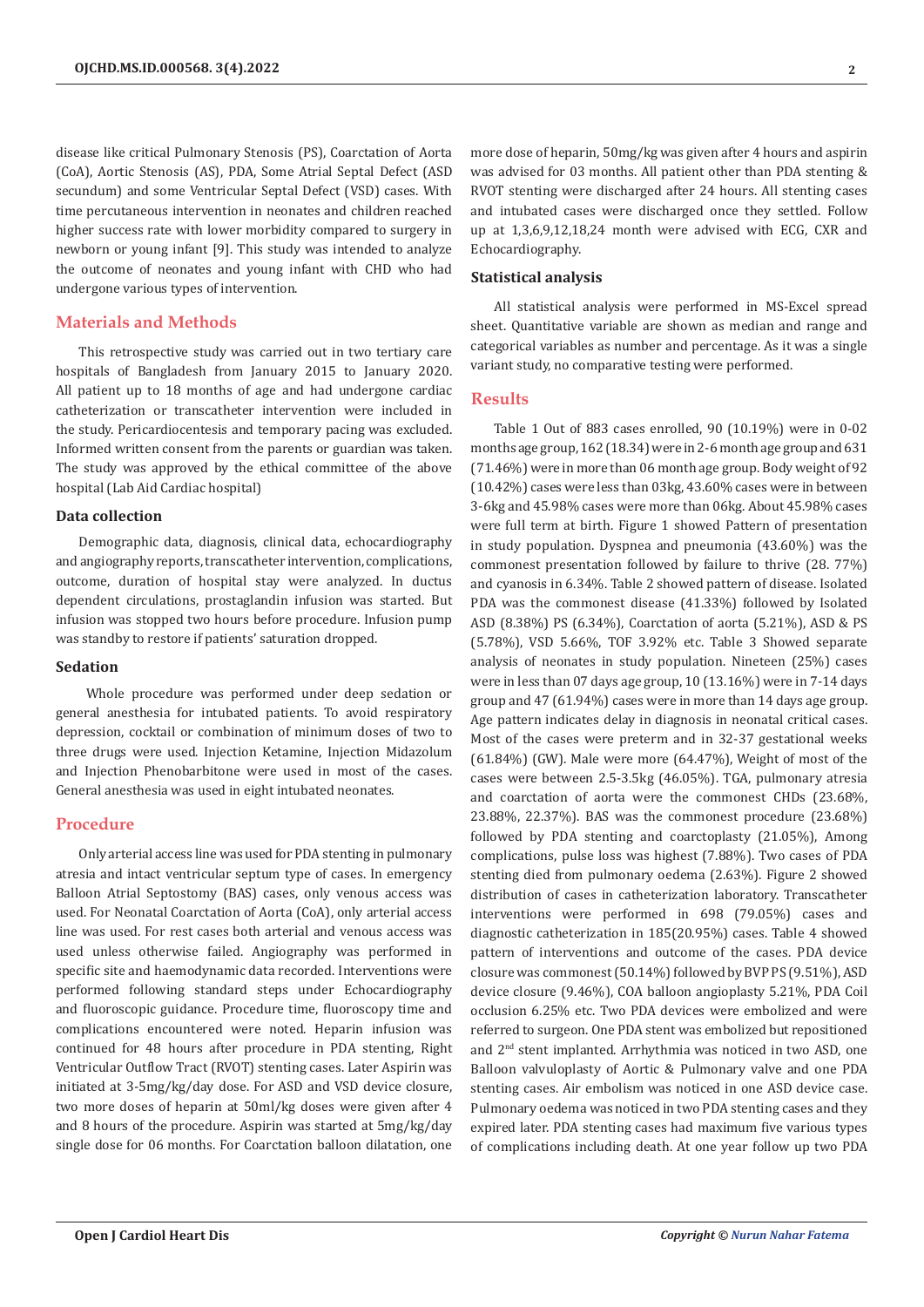disease like critical Pulmonary Stenosis (PS), Coarctation of Aorta (CoA), Aortic Stenosis (AS), PDA, Some Atrial Septal Defect (ASD secundum) and some Ventricular Septal Defect (VSD) cases. With time percutaneous intervention in neonates and children reached higher success rate with lower morbidity compared to surgery in newborn or young infant [9]. This study was intended to analyze the outcome of neonates and young infant with CHD who had undergone various types of intervention.

## **Materials and Methods**

This retrospective study was carried out in two tertiary care hospitals of Bangladesh from January 2015 to January 2020. All patient up to 18 months of age and had undergone cardiac catheterization or transcatheter intervention were included in the study. Pericardiocentesis and temporary pacing was excluded. Informed written consent from the parents or guardian was taken. The study was approved by the ethical committee of the above hospital (Lab Aid Cardiac hospital)

#### **Data collection**

Demographic data, diagnosis, clinical data, echocardiography and angiography reports, transcatheter intervention, complications, outcome, duration of hospital stay were analyzed. In ductus dependent circulations, prostaglandin infusion was started. But infusion was stopped two hours before procedure. Infusion pump was standby to restore if patients' saturation dropped.

#### **Sedation**

 Whole procedure was performed under deep sedation or general anesthesia for intubated patients. To avoid respiratory depression, cocktail or combination of minimum doses of two to three drugs were used. Injection Ketamine, Injection Midazolum and Injection Phenobarbitone were used in most of the cases. General anesthesia was used in eight intubated neonates.

## **Procedure**

Only arterial access line was used for PDA stenting in pulmonary atresia and intact ventricular septum type of cases. In emergency Balloon Atrial Septostomy (BAS) cases, only venous access was used. For Neonatal Coarctation of Aorta (CoA), only arterial access line was used. For rest cases both arterial and venous access was used unless otherwise failed. Angiography was performed in specific site and haemodynamic data recorded. Interventions were performed following standard steps under Echocardiography and fluoroscopic guidance. Procedure time, fluoroscopy time and complications encountered were noted. Heparin infusion was continued for 48 hours after procedure in PDA stenting, Right Ventricular Outflow Tract (RVOT) stenting cases. Later Aspirin was initiated at 3-5mg/kg/day dose. For ASD and VSD device closure, two more doses of heparin at 50ml/kg doses were given after 4 and 8 hours of the procedure. Aspirin was started at 5mg/kg/day single dose for 06 months. For Coarctation balloon dilatation, one

more dose of heparin, 50mg/kg was given after 4 hours and aspirin was advised for 03 months. All patient other than PDA stenting & RVOT stenting were discharged after 24 hours. All stenting cases and intubated cases were discharged once they settled. Follow up at 1,3,6,9,12,18,24 month were advised with ECG, CXR and Echocardiography.

#### **Statistical analysis**

All statistical analysis were performed in MS-Excel spread sheet. Quantitative variable are shown as median and range and categorical variables as number and percentage. As it was a single variant study, no comparative testing were performed.

#### **Results**

Table 1 Out of 883 cases enrolled, 90 (10.19%) were in 0-02 months age group, 162 (18.34) were in 2-6 month age group and 631 (71.46%) were in more than 06 month age group. Body weight of 92 (10.42%) cases were less than 03kg, 43.60% cases were in between 3-6kg and 45.98% cases were more than 06kg. About 45.98% cases were full term at birth. Figure 1 showed Pattern of presentation in study population. Dyspnea and pneumonia (43.60%) was the commonest presentation followed by failure to thrive (28. 77%) and cyanosis in 6.34%. Table 2 showed pattern of disease. Isolated PDA was the commonest disease (41.33%) followed by Isolated ASD (8.38%) PS (6.34%), Coarctation of aorta (5.21%), ASD & PS (5.78%), VSD 5.66%, TOF 3.92% etc. Table 3 Showed separate analysis of neonates in study population. Nineteen (25%) cases were in less than 07 days age group, 10 (13.16%) were in 7-14 days group and 47 (61.94%) cases were in more than 14 days age group. Age pattern indicates delay in diagnosis in neonatal critical cases. Most of the cases were preterm and in 32-37 gestational weeks  $(61.84%)$  (GW). Male were more  $(64.47%)$ , Weight of most of the cases were between 2.5-3.5kg (46.05%). TGA, pulmonary atresia and coarctation of aorta were the commonest CHDs (23.68%, 23.88%, 22.37%). BAS was the commonest procedure (23.68%) followed by PDA stenting and coarctoplasty (21.05%), Among complications, pulse loss was highest (7.88%). Two cases of PDA stenting died from pulmonary oedema (2.63%). Figure 2 showed distribution of cases in catheterization laboratory. Transcatheter interventions were performed in 698 (79.05%) cases and diagnostic catheterization in 185(20.95%) cases. Table 4 showed pattern of interventions and outcome of the cases. PDA device closure was commonest (50.14%) followed by BVP PS (9.51%), ASD device closure (9.46%), COA balloon angioplasty 5.21%, PDA Coil occlusion 6.25% etc. Two PDA devices were embolized and were referred to surgeon. One PDA stent was embolized but repositioned and 2nd stent implanted. Arrhythmia was noticed in two ASD, one Balloon valvuloplasty of Aortic & Pulmonary valve and one PDA stenting cases. Air embolism was noticed in one ASD device case. Pulmonary oedema was noticed in two PDA stenting cases and they expired later. PDA stenting cases had maximum five various types of complications including death. At one year follow up two PDA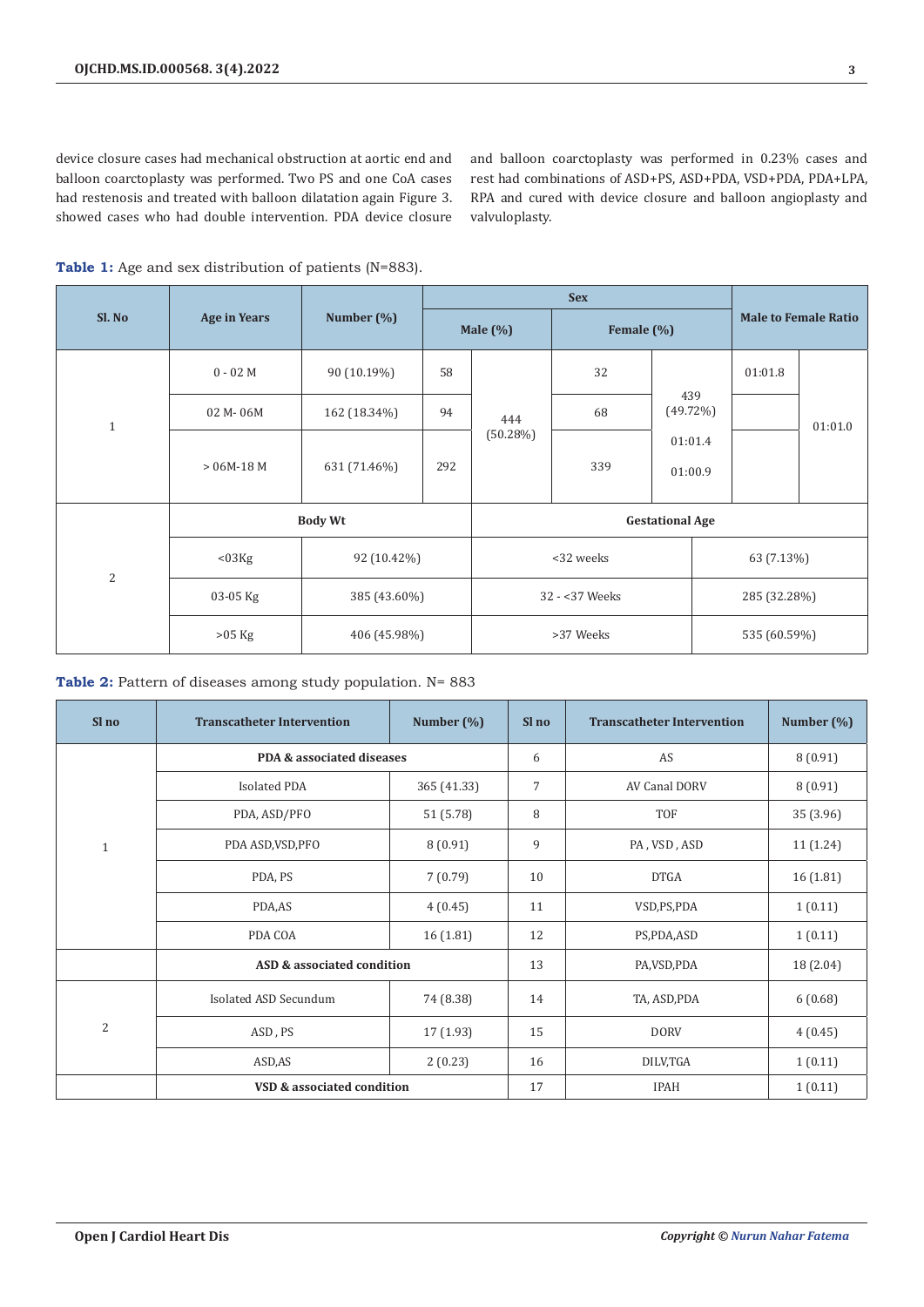device closure cases had mechanical obstruction at aortic end and balloon coarctoplasty was performed. Two PS and one CoA cases had restenosis and treated with balloon dilatation again Figure 3. showed cases who had double intervention. PDA device closure

and balloon coarctoplasty was performed in 0.23% cases and rest had combinations of ASD+PS, ASD+PDA, VSD+PDA, PDA+LPA, RPA and cured with device closure and balloon angioplasty and valvuloplasty.

| Sl. No       | <b>Age in Years</b> | Number $(\%)$  |     | Male $(\%)$            | Female (%) |                    | <b>Male to Female Ratio</b> |         |  |
|--------------|---------------------|----------------|-----|------------------------|------------|--------------------|-----------------------------|---------|--|
| $\mathbf{1}$ | $0 - 02 M$          | 90 (10.19%)    | 58  |                        | 32         |                    | 01:01.8                     |         |  |
|              | 02 M-06M            | 162 (18.34%)   | 94  | 444                    | 68         | 439<br>$(49.72\%)$ |                             | 01:01.0 |  |
|              | $> 06M-18M$         | 631 (71.46%)   | 292 | (50.28%)<br>339        |            | 01:01.4<br>01:00.9 |                             |         |  |
|              |                     | <b>Body Wt</b> |     | <b>Gestational Age</b> |            |                    |                             |         |  |
| $\mathbf{2}$ | $03Kg$              | 92 (10.42%)    |     | <32 weeks              |            |                    | 63 (7.13%)                  |         |  |
|              | $03-05$ Kg          | 385 (43.60%)   |     | 32 - < 37 Weeks        |            |                    | 285 (32.28%)                |         |  |
|              | $>05$ Kg            | 406 (45.98%)   |     | >37 Weeks              |            |                    | 535 (60.59%)                |         |  |

Table 1: Age and sex distribution of patients (N=883).

Table 2: Pattern of diseases among study population. N= 883

| Sl no          | <b>Transcatheter Intervention</b> | Number $(\%)$ | Sl no          | <b>Transcatheter Intervention</b> | Number (%) |
|----------------|-----------------------------------|---------------|----------------|-----------------------------------|------------|
|                | PDA & associated diseases         |               | 6              | AS                                | 8(0.91)    |
|                | <b>Isolated PDA</b>               | 365 (41.33)   | $\overline{7}$ | AV Canal DORV                     | 8(0.91)    |
|                | PDA, ASD/PFO                      | 51 (5.78)     | 8              | TOF                               | 35 (3.96)  |
| $\mathbf{1}$   | PDA ASD, VSD, PFO                 | 8(0.91)       | 9              | PA, VSD, ASD                      | 11 (1.24)  |
|                | PDA, PS                           | 7(0.79)       | 10             | <b>DTGA</b>                       | 16 (1.81)  |
|                | PDA,AS                            | 4(0.45)       | 11             | VSD,PS,PDA                        | 1(0.11)    |
|                | PDA COA                           | 16 (1.81)     | 12             | PS,PDA,ASD                        | 1(0.11)    |
|                | ASD & associated condition        |               | 13             | PA, VSD, PDA                      | 18 (2.04)  |
| $\overline{2}$ | Isolated ASD Secundum             | 74 (8.38)     | 14             | TA, ASD, PDA                      | 6(0.68)    |
|                | ASD, PS                           | 17(1.93)      | 15             | <b>DORV</b>                       | 4(0.45)    |
|                | ASD, AS                           | 16            | DILV,TGA       | 1(0.11)                           |            |
|                | VSD & associated condition        |               | 17             | <b>IPAH</b>                       | 1(0.11)    |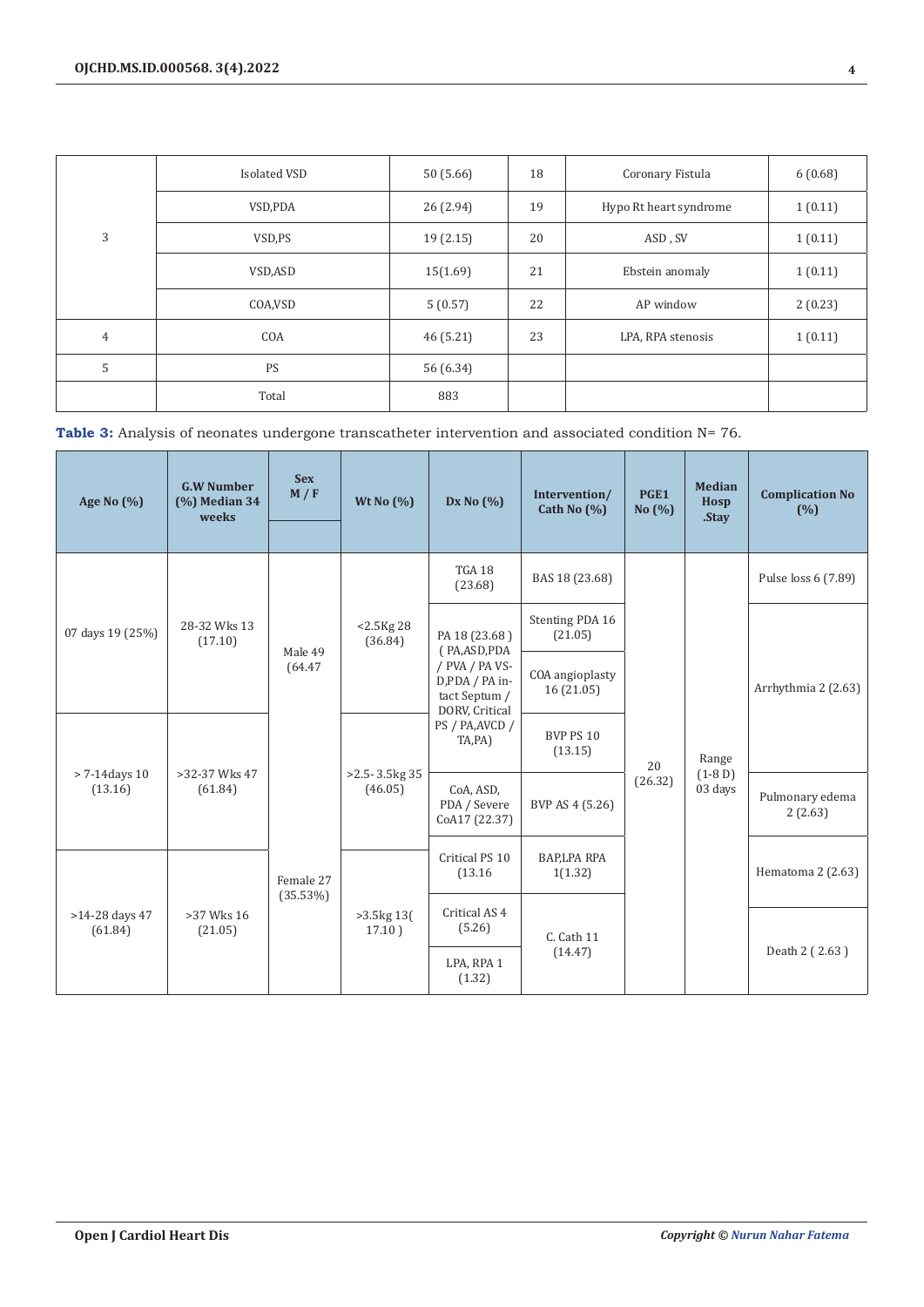|                | Isolated VSD | 50(5.66)  | 18 | Coronary Fistula       | 6(0.68) |
|----------------|--------------|-----------|----|------------------------|---------|
| 3              | VSD, PDA     | 26 (2.94) | 19 | Hypo Rt heart syndrome | 1(0.11) |
|                | VSD,PS       | 19(2.15)  | 20 | ASD, SV                | 1(0.11) |
|                | VSD,ASD      | 15(1.69)  | 21 | Ebstein anomaly        | 1(0.11) |
|                | COA, VSD     | 5(0.57)   | 22 | AP window              | 2(0.23) |
| $\overline{4}$ | COA          | 46 (5.21) | 23 | LPA, RPA stenosis      | 1(0.11) |
| 5              | PS           | 56 (6.34) |    |                        |         |
|                | Total        | 883       |    |                        |         |

Table 3: Analysis of neonates undergone transcatheter intervention and associated condition N= 76.

| Age No (%)                  | <b>G.W Number</b><br>$(%)$ Median 34<br>weeks | <b>Sex</b><br>M / F | Wt No $(\% )$                 | Dx No $(%)$                                                         | Intervention/<br>Cath No $(\% )$ | PGE1<br>No $(%)$              | <b>Median</b><br>Hosp<br>.Stay | <b>Complication No</b><br>(%) |                   |
|-----------------------------|-----------------------------------------------|---------------------|-------------------------------|---------------------------------------------------------------------|----------------------------------|-------------------------------|--------------------------------|-------------------------------|-------------------|
| 07 days 19 (25%)            | 28-32 Wks 13<br>(17.10)                       | Male 49<br>(64.47)  | $< 2.5$ Kg 28<br>(36.84)      | TGA 18<br>(23.68)                                                   | BAS 18 (23.68)                   |                               | Range<br>$(1-8D)$<br>03 days   | Pulse loss 6 (7.89)           |                   |
|                             |                                               |                     |                               | PA 18 (23.68)<br>(PA,ASD,PDA                                        | Stenting PDA 16<br>(21.05)       |                               |                                |                               |                   |
|                             |                                               |                     |                               | / PVA / PA VS-<br>D,PDA / PA in-<br>tact Septum /<br>DORV, Critical | COA angioplasty<br>16(21.05)     | 20<br>(26.32)                 |                                | Arrhythmia 2 (2.63)           |                   |
| $> 7-14$ days 10<br>(13.16) | >32-37 Wks 47<br>(61.84)                      |                     | $>2.5 - 3.5$ kg 35<br>(46.05) | PS / PA, AVCD /<br>TA,PA)                                           | BVP PS 10<br>(13.15)             |                               |                                |                               |                   |
|                             |                                               |                     |                               | CoA, ASD,<br>PDA / Severe<br>CoA17 (22.37)                          | BVP AS 4 (5.26)                  |                               |                                | Pulmonary edema<br>2(2.63)    |                   |
| >14-28 days 47<br>(61.84)   | $>37$ Wks 16<br>(21.05)                       |                     | Female 27<br>(35.53%)         |                                                                     | Critical PS 10<br>(13.16)        | <b>BAP,LPA RPA</b><br>1(1.32) |                                |                               | Hematoma 2 (2.63) |
|                             |                                               |                     | $>3.5$ kg 13(<br>17.10)       | Critical AS <sub>4</sub><br>(5.26)                                  | C. Cath 11                       |                               |                                |                               |                   |
|                             |                                               |                     |                               | LPA, RPA 1<br>(1.32)                                                | (14.47)                          |                               |                                | Death 2 (2.63)                |                   |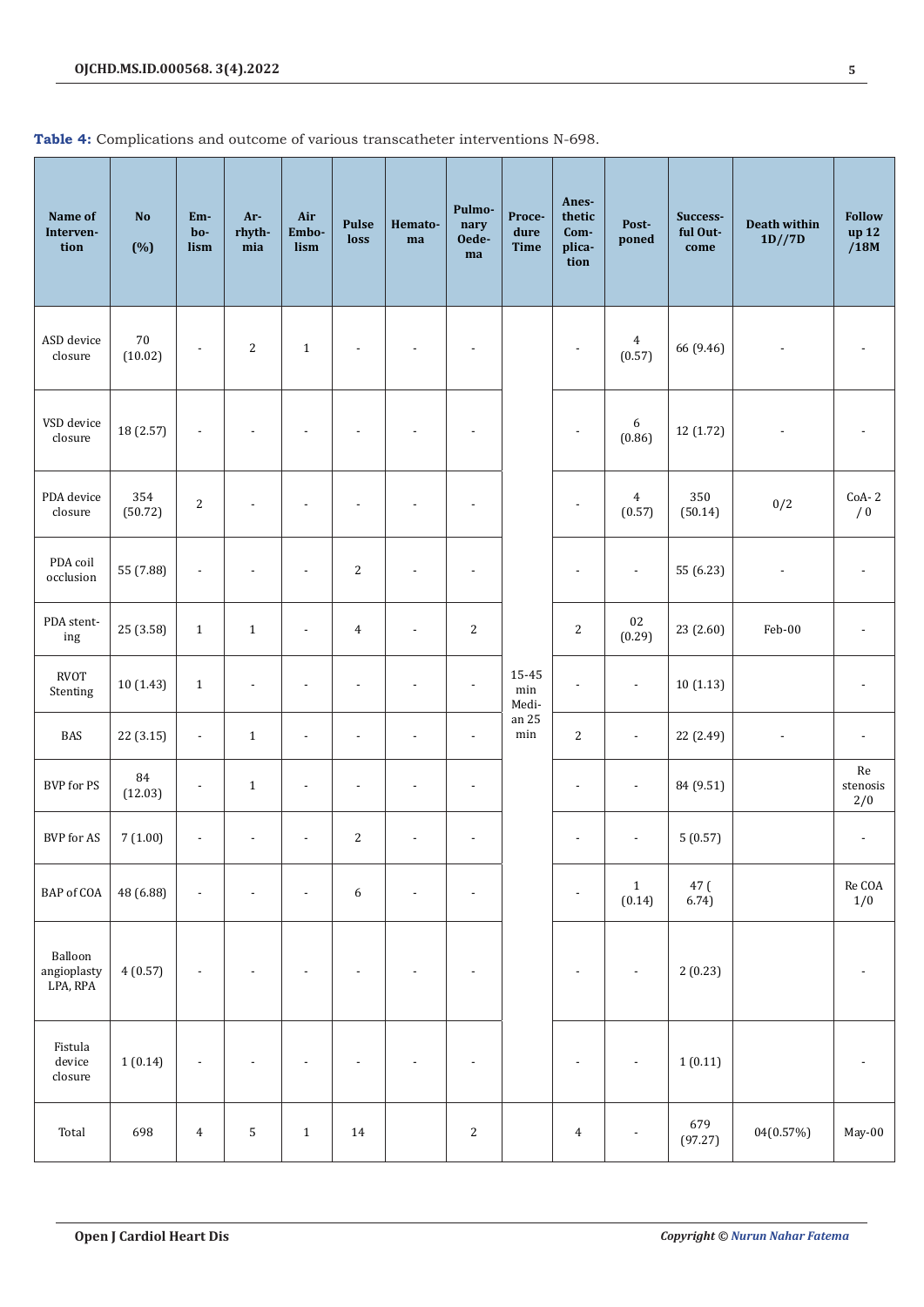|  | Table 4: Complications and outcome of various transcatheter interventions N-698. |  |  |  |  |  |
|--|----------------------------------------------------------------------------------|--|--|--|--|--|
|--|----------------------------------------------------------------------------------|--|--|--|--|--|

| Name of<br>Interven-<br>tion       | <b>No</b><br>(%)    | Em-<br>bo-<br>lism       | Ar-<br>rhyth-<br>mia     | Air<br>Embo-<br>lism     | Pulse<br>loss    | Hemato-<br>ma            | Pulmo-<br>nary<br>Oede-<br>ma | Proce-<br>dure<br><b>Time</b> | Anes-<br>thetic<br>Com-<br>plica-<br>tion | Post-<br>poned           | Success-<br>ful Out-<br>come | <b>Death within</b><br>1D//7D | <b>Follow</b><br>up 12<br>/18M |
|------------------------------------|---------------------|--------------------------|--------------------------|--------------------------|------------------|--------------------------|-------------------------------|-------------------------------|-------------------------------------------|--------------------------|------------------------------|-------------------------------|--------------------------------|
| ASD device<br>closure              | $70\,$<br>(10.02)   | $\overline{\phantom{a}}$ | $\mathbf{2}$             | $\mathbf{1}$             |                  |                          |                               |                               |                                           | $\overline{4}$<br>(0.57) | 66 (9.46)                    |                               |                                |
| VSD device<br>closure              | 18 (2.57)           | $\overline{a}$           |                          |                          |                  |                          |                               |                               |                                           | 6<br>(0.86)              | 12 (1.72)                    |                               |                                |
| PDA device<br>closure              | 354<br>(50.72)      | $\sqrt{2}$               |                          | $\overline{\phantom{a}}$ |                  |                          | $\overline{\phantom{a}}$      |                               | $\overline{\phantom{a}}$                  | $\overline{4}$<br>(0.57) | 350<br>(50.14)               | 0/2                           | $CoA-2$<br>/0                  |
| PDA coil<br>occlusion              | 55 (7.88)           | $\overline{a}$           |                          | $\overline{a}$           | $\sqrt{2}$       |                          | $\overline{\phantom{a}}$      |                               |                                           | $\overline{\phantom{a}}$ | 55 (6.23)                    |                               |                                |
| PDA stent-<br>ing                  | 25 (3.58)           | $\,1\,$                  | $\mathbf{1}$             | $\overline{\phantom{a}}$ | $\overline{4}$   | $\overline{\phantom{a}}$ | $\sqrt{2}$                    |                               | $\sqrt{2}$                                | $02\,$<br>(0.29)         | 23 (2.60)                    | Feb-00                        |                                |
| <b>RVOT</b><br>Stenting            | 10(1.43)            | $\,1\,$                  | $\overline{\phantom{a}}$ | $\overline{a}$           | $\overline{a}$   | $\overline{a}$           | $\overline{\phantom{a}}$      | 15-45<br>$\min$<br>Medi-      | $\overline{\phantom{a}}$                  | $\overline{\phantom{a}}$ | 10(1.13)                     |                               |                                |
| <b>BAS</b>                         | 22 (3.15)           | $\overline{\phantom{a}}$ | $\mathbf 1$              | $\overline{\phantom{a}}$ | $\overline{a}$   | $\overline{\phantom{a}}$ | $\overline{\phantom{a}}$      | an 25<br>$\min$               | $\sqrt{2}$                                | $\overline{\phantom{a}}$ | 22 (2.49)                    |                               | $\overline{\phantom{a}}$       |
| BVP for PS                         | $\bf 84$<br>(12.03) | $\overline{\phantom{a}}$ | $\mathbf{1}$             | $\overline{a}$           | $\overline{a}$   |                          | $\overline{a}$                |                               | $\overline{a}$                            | $\overline{\phantom{a}}$ | 84 (9.51)                    |                               | $\rm Re$<br>stenosis<br>2/0    |
| BVP for AS                         | 7(1.00)             | $\overline{\phantom{a}}$ | $\overline{\phantom{a}}$ | $\overline{\phantom{a}}$ | $\sqrt{2}$       | $\overline{\phantom{a}}$ | $\overline{a}$                |                               | $\overline{a}$                            | $\overline{\phantom{a}}$ | 5(0.57)                      |                               |                                |
| BAP of COA                         | 48 (6.88)           | $\overline{\phantom{a}}$ |                          | $\overline{\phantom{a}}$ | $\boldsymbol{6}$ | $\overline{a}$           | $\overline{a}$                |                               | $\overline{a}$                            | $\mathbf 1$<br>(0.14)    | 47 (<br>6.74)                |                               | $\rm Re~COA$<br>1/0            |
| Balloon<br>angioplasty<br>LPA, RPA | 4(0.57)             | ÷,                       |                          |                          |                  |                          |                               |                               |                                           |                          | 2(0.23)                      |                               |                                |
| Fistula<br>device<br>closure       | 1(0.14)             | ÷,                       |                          | $\overline{\phantom{a}}$ |                  |                          | $\overline{a}$                |                               |                                           | $\overline{\phantom{a}}$ | 1(0.11)                      |                               |                                |
| Total                              | 698                 | $\boldsymbol{4}$         | $\mathsf S$              | $\mathbf 1$              | 14               |                          | $\sqrt{2}$                    |                               | $\boldsymbol{4}$                          | $\overline{\phantom{a}}$ | 679<br>(97.27)               | 04(0.57%)                     | May-00                         |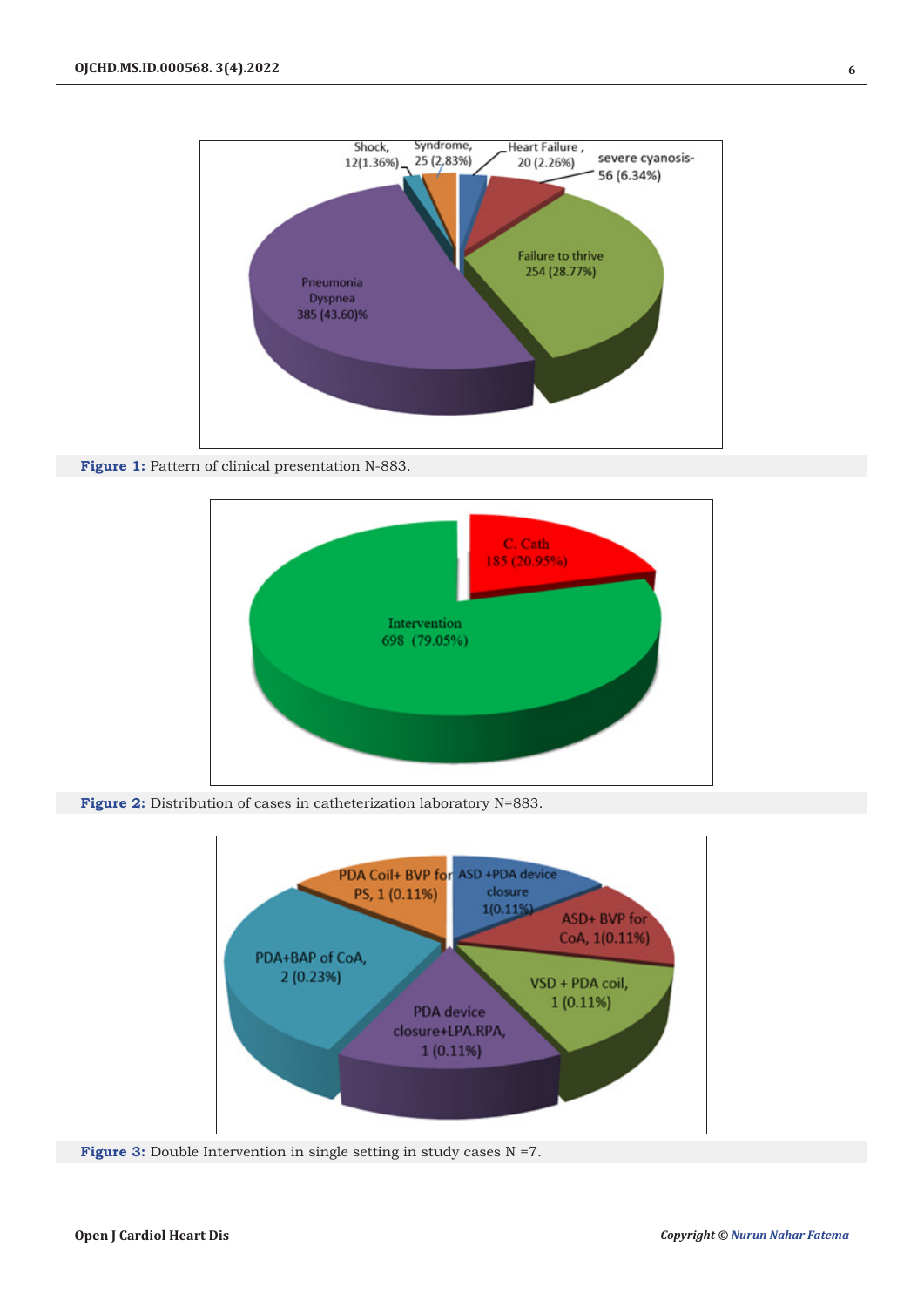

**Figure 1:** Pattern of clinical presentation N-883.



**Figure 2:** Distribution of cases in catheterization laboratory N=883.



**Figure 3:** Double Intervention in single setting in study cases N =7.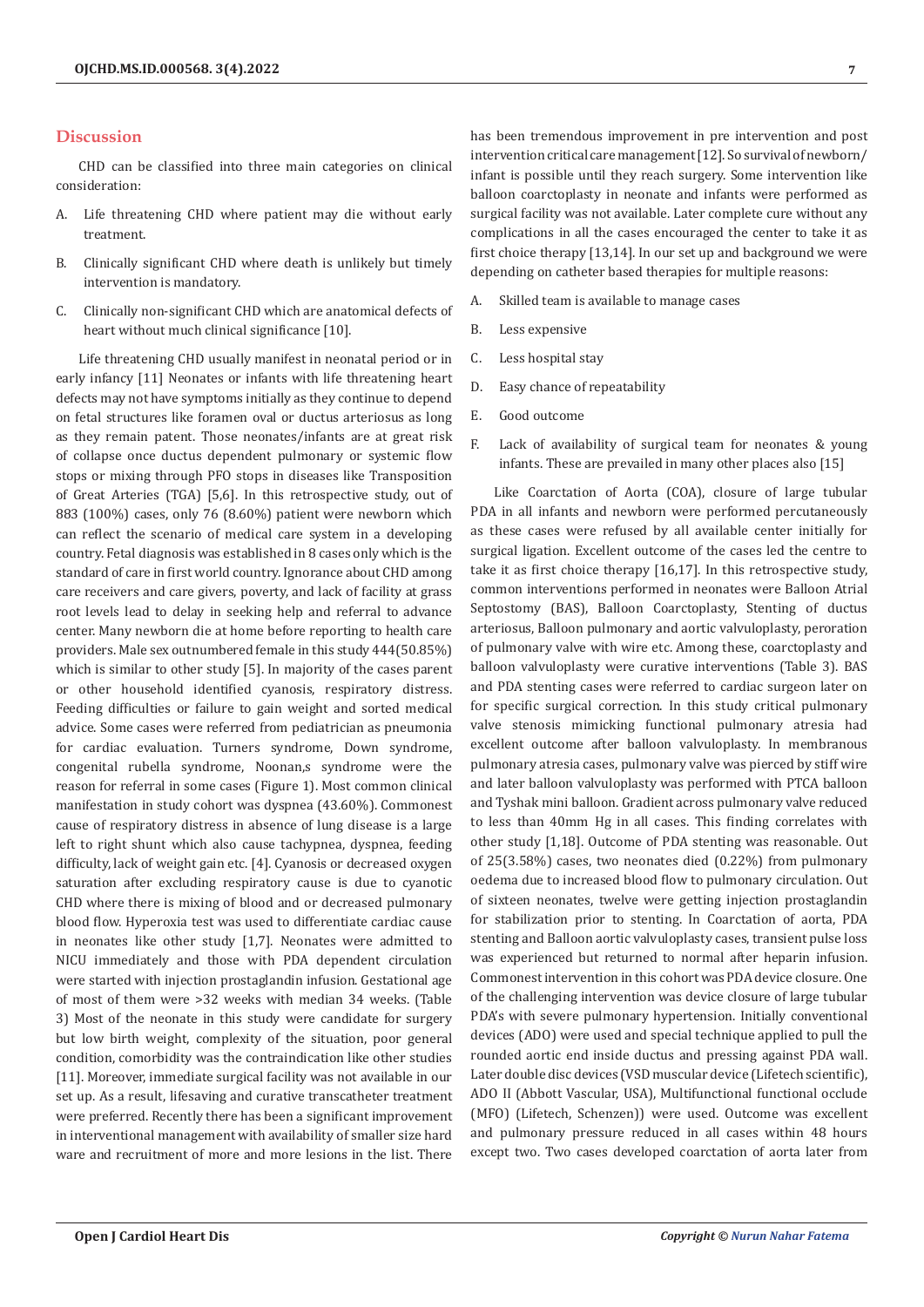## **Discussion**

CHD can be classified into three main categories on clinical consideration:

- A. Life threatening CHD where patient may die without early treatment.
- B. Clinically significant CHD where death is unlikely but timely intervention is mandatory.
- C. Clinically non-significant CHD which are anatomical defects of heart without much clinical significance [10].

Life threatening CHD usually manifest in neonatal period or in early infancy [11] Neonates or infants with life threatening heart defects may not have symptoms initially as they continue to depend on fetal structures like foramen oval or ductus arteriosus as long as they remain patent. Those neonates/infants are at great risk of collapse once ductus dependent pulmonary or systemic flow stops or mixing through PFO stops in diseases like Transposition of Great Arteries (TGA) [5,6]. In this retrospective study, out of 883 (100%) cases, only 76 (8.60%) patient were newborn which can reflect the scenario of medical care system in a developing country. Fetal diagnosis was established in 8 cases only which is the standard of care in first world country. Ignorance about CHD among care receivers and care givers, poverty, and lack of facility at grass root levels lead to delay in seeking help and referral to advance center. Many newborn die at home before reporting to health care providers. Male sex outnumbered female in this study 444(50.85%) which is similar to other study [5]. In majority of the cases parent or other household identified cyanosis, respiratory distress. Feeding difficulties or failure to gain weight and sorted medical advice. Some cases were referred from pediatrician as pneumonia for cardiac evaluation. Turners syndrome, Down syndrome, congenital rubella syndrome, Noonan,s syndrome were the reason for referral in some cases (Figure 1). Most common clinical manifestation in study cohort was dyspnea (43.60%). Commonest cause of respiratory distress in absence of lung disease is a large left to right shunt which also cause tachypnea, dyspnea, feeding difficulty, lack of weight gain etc. [4]. Cyanosis or decreased oxygen saturation after excluding respiratory cause is due to cyanotic CHD where there is mixing of blood and or decreased pulmonary blood flow. Hyperoxia test was used to differentiate cardiac cause in neonates like other study [1,7]. Neonates were admitted to NICU immediately and those with PDA dependent circulation were started with injection prostaglandin infusion. Gestational age of most of them were >32 weeks with median 34 weeks. (Table 3) Most of the neonate in this study were candidate for surgery but low birth weight, complexity of the situation, poor general condition, comorbidity was the contraindication like other studies [11]. Moreover, immediate surgical facility was not available in our set up. As a result, lifesaving and curative transcatheter treatment were preferred. Recently there has been a significant improvement in interventional management with availability of smaller size hard ware and recruitment of more and more lesions in the list. There

has been tremendous improvement in pre intervention and post intervention critical care management [12]. So survival of newborn/ infant is possible until they reach surgery. Some intervention like balloon coarctoplasty in neonate and infants were performed as surgical facility was not available. Later complete cure without any complications in all the cases encouraged the center to take it as first choice therapy [13,14]. In our set up and background we were depending on catheter based therapies for multiple reasons:

- A. Skilled team is available to manage cases
- B. Less expensive
- C. Less hospital stay
- D. Easy chance of repeatability
- E. Good outcome
- F. Lack of availability of surgical team for neonates & young infants. These are prevailed in many other places also [15]

Like Coarctation of Aorta (COA), closure of large tubular PDA in all infants and newborn were performed percutaneously as these cases were refused by all available center initially for surgical ligation. Excellent outcome of the cases led the centre to take it as first choice therapy [16,17]. In this retrospective study, common interventions performed in neonates were Balloon Atrial Septostomy (BAS), Balloon Coarctoplasty, Stenting of ductus arteriosus, Balloon pulmonary and aortic valvuloplasty, peroration of pulmonary valve with wire etc. Among these, coarctoplasty and balloon valvuloplasty were curative interventions (Table 3). BAS and PDA stenting cases were referred to cardiac surgeon later on for specific surgical correction. In this study critical pulmonary valve stenosis mimicking functional pulmonary atresia had excellent outcome after balloon valvuloplasty. In membranous pulmonary atresia cases, pulmonary valve was pierced by stiff wire and later balloon valvuloplasty was performed with PTCA balloon and Tyshak mini balloon. Gradient across pulmonary valve reduced to less than 40mm Hg in all cases. This finding correlates with other study [1,18]. Outcome of PDA stenting was reasonable. Out of 25(3.58%) cases, two neonates died (0.22%) from pulmonary oedema due to increased blood flow to pulmonary circulation. Out of sixteen neonates, twelve were getting injection prostaglandin for stabilization prior to stenting. In Coarctation of aorta, PDA stenting and Balloon aortic valvuloplasty cases, transient pulse loss was experienced but returned to normal after heparin infusion. Commonest intervention in this cohort was PDA device closure. One of the challenging intervention was device closure of large tubular PDA's with severe pulmonary hypertension. Initially conventional devices (ADO) were used and special technique applied to pull the rounded aortic end inside ductus and pressing against PDA wall. Later double disc devices (VSD muscular device (Lifetech scientific), ADO II (Abbott Vascular, USA), Multifunctional functional occlude (MFO) (Lifetech, Schenzen)) were used. Outcome was excellent and pulmonary pressure reduced in all cases within 48 hours except two. Two cases developed coarctation of aorta later from